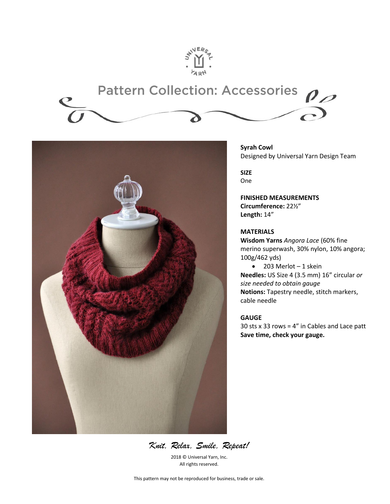

# **Pattern Collection: Accessories**  $\rho_{\mathscr{D}}$



**Syrah Cowl** Designed by Universal Yarn Design Team

**SIZE**  One

**FINISHED MEASUREMENTS Circumference:** 22½" **Length:** 14"

## **MATERIALS**

**Wisdom Yarns** *Angora Lace* (60% fine merino superwash, 30% nylon, 10% angora; 100g/462 yds)

 $\bullet$  203 Merlot - 1 skein **Needles:** US Size 4 (3.5 mm) 16" circular *or size needed to obtain gauge* **Notions:** Tapestry needle, stitch markers, cable needle

## **GAUGE**

30 sts x 33 rows = 4" in Cables and Lace patt **Save time, check your gauge.**

*Knit, Relax, Smile, Repeat!*

2018 © Universal Yarn, Inc. All rights reserved.

This pattern may not be reproduced for business, trade or sale.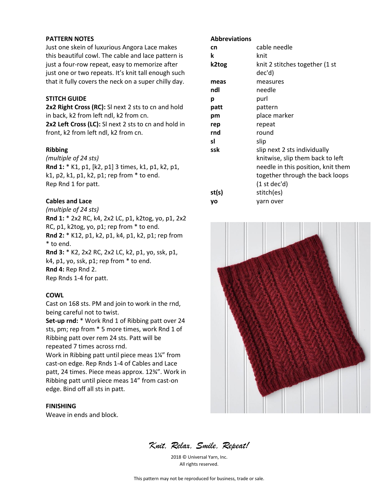#### **PATTERN NOTES**

Just one skein of luxurious Angora Lace makes this beautiful cowl. The cable and lace pattern is just a four-row repeat, easy to memorize after just one or two repeats. It's knit tall enough such that it fully covers the neck on a super chilly day.

### **STITCH GUIDE**

**2x2 Right Cross (RC):** Sl next 2 sts to cn and hold in back, k2 from left ndl, k2 from cn.

**2x2 Left Cross (LC):** Sl next 2 sts to cn and hold in front, k2 from left ndl, k2 from cn.

#### **Ribbing**

*(multiple of 24 sts)* **Rnd 1:** \* K1, p1, [k2, p1] 3 times, k1, p1, k2, p1, k1, p2, k1, p1, k2, p1; rep from \* to end. Rep Rnd 1 for patt.

### **Cables and Lace**

*(multiple of 24 sts)*

**Rnd 1:** \* 2x2 RC, k4, 2x2 LC, p1, k2tog, yo, p1, 2x2 RC, p1, k2tog, yo, p1; rep from \* to end. **Rnd 2:** \* K12, p1, k2, p1, k4, p1, k2, p1; rep from

\* to end.

**Rnd 3:** \* K2, 2x2 RC, 2x2 LC, k2, p1, yo, ssk, p1, k4, p1, yo, ssk, p1; rep from \* to end. **Rnd 4:** Rep Rnd 2. Rep Rnds 1-4 for patt.

#### **COWL**

Cast on 168 sts. PM and join to work in the rnd, being careful not to twist.

**Set-up rnd:** \* Work Rnd 1 of Ribbing patt over 24 sts, pm; rep from \* 5 more times, work Rnd 1 of Ribbing patt over rem 24 sts. Patt will be repeated 7 times across rnd.

Work in Ribbing patt until piece meas 1¼" from cast-on edge. Rep Rnds 1-4 of Cables and Lace patt, 24 times. Piece meas approx. 12¾". Work in Ribbing patt until piece meas 14" from cast-on edge. Bind off all sts in patt.

## **FINISHING**

Weave in ends and block.

#### **Abbreviations**

| cn    | cable needle                       |
|-------|------------------------------------|
| k     | knit                               |
| k2tog | knit 2 stitches together (1 st     |
|       | dec'd)                             |
| meas  | measures                           |
| ndl   | needle                             |
| р     | purl                               |
| patt  | pattern                            |
| pm    | place marker                       |
| rep   | repeat                             |
| rnd   | round                              |
| sl    | slip                               |
| ssk   | slip next 2 sts individually       |
|       | knitwise, slip them back to left   |
|       | needle in this position, knit them |
|       | together through the back loops    |
|       | $(1$ st dec'd)                     |
| st(s) | stitch(es)                         |
| yo    | yarn over                          |



*Knit, Relax, Smile, Repeat!*

2018 © Universal Yarn, Inc. All rights reserved.